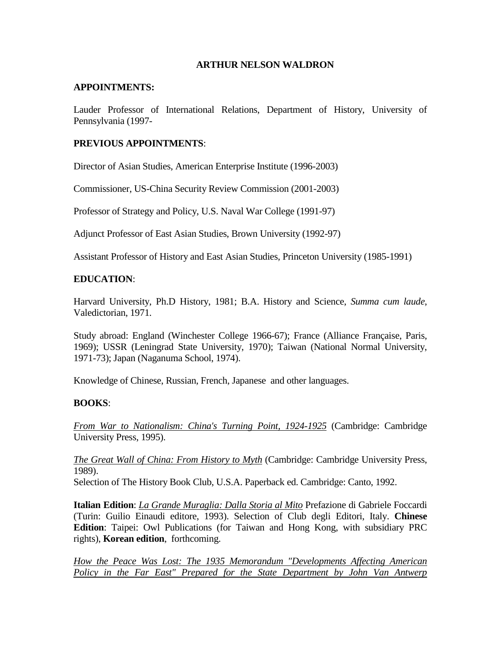### **ARTHUR NELSON WALDRON**

#### **APPOINTMENTS:**

Lauder Professor of International Relations, Department of History, University of Pennsylvania (1997-

## **PREVIOUS APPOINTMENTS**:

Director of Asian Studies, American Enterprise Institute (1996-2003)

Commissioner, US-China Security Review Commission (2001-2003)

Professor of Strategy and Policy, U.S. Naval War College (1991-97)

Adjunct Professor of East Asian Studies, Brown University (1992-97)

Assistant Professor of History and East Asian Studies, Princeton University (1985-1991)

### **EDUCATION**:

Harvard University, Ph.D History, 1981; B.A. History and Science, *Summa cum laude*, Valedictorian, 1971.

Study abroad: England (Winchester College 1966-67); France (Alliance Française, Paris, 1969); USSR (Leningrad State University, 1970); Taiwan (National Normal University, 1971-73); Japan (Naganuma School, 1974).

Knowledge of Chinese, Russian, French, Japanese and other languages.

## **BOOKS**:

*From War to Nationalism: China's Turning Point, 1924-1925* (Cambridge: Cambridge University Press, 1995).

*The Great Wall of China: From History to Myth* (Cambridge: Cambridge University Press, 1989).

Selection of The History Book Club, U.S.A. Paperback ed. Cambridge: Canto, 1992.

**Italian Edition**: *La Grande Muraglia: Dalla Storia al Mito* Prefazione di Gabriele Foccardi (Turin: Guilio Einaudi editore, 1993). Selection of Club degli Editori, Italy. **Chinese Edition**: Taipei: Owl Publications (for Taiwan and Hong Kong, with subsidiary PRC rights), **Korean edition**, forthcoming.

*How the Peace Was Lost: The 1935 Memorandum "Developments Affecting American Policy in the Far East" Prepared for the State Department by John Van Antwerp*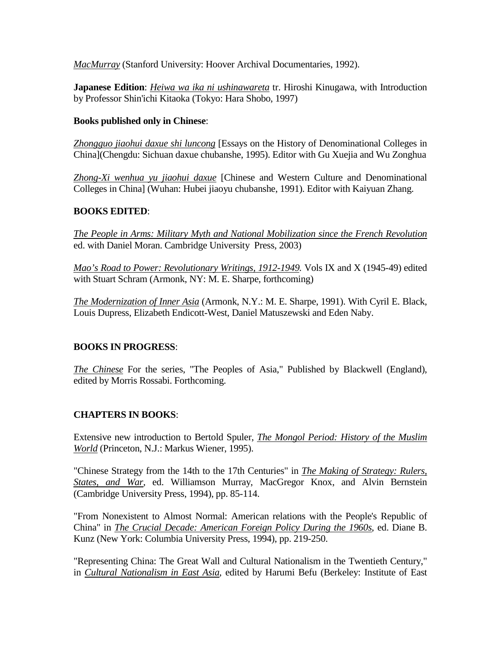*MacMurray* (Stanford University: Hoover Archival Documentaries, 1992).

**Japanese Edition**: *Heiwa wa ika ni ushinawareta* tr. Hiroshi Kinugawa, with Introduction by Professor Shin'ichi Kitaoka (Tokyo: Hara Shobo, 1997)

### **Books published only in Chinese**:

*Zhongguo jiaohui daxue shi luncong* [Essays on the History of Denominational Colleges in China](Chengdu: Sichuan daxue chubanshe, 1995). Editor with Gu Xuejia and Wu Zonghua

*Zhong-Xi wenhua yu jiaohui daxue* [Chinese and Western Culture and Denominational Colleges in China] (Wuhan: Hubei jiaoyu chubanshe, 1991). Editor with Kaiyuan Zhang.

### **BOOKS EDITED**:

*The People in Arms: Military Myth and National Mobilization since the French Revolution* ed. with Daniel Moran. Cambridge University Press, 2003)

*Mao's Road to Power: Revolutionary Writings, 1912-1949.* Vols IX and X (1945-49) edited with Stuart Schram (Armonk, NY: M. E. Sharpe, forthcoming)

*The Modernization of Inner Asia* (Armonk, N.Y.: M. E. Sharpe, 1991). With Cyril E. Black, Louis Dupress, Elizabeth Endicott-West, Daniel Matuszewski and Eden Naby.

## **BOOKS IN PROGRESS**:

*The Chinese* For the series, "The Peoples of Asia," Published by Blackwell (England), edited by Morris Rossabi. Forthcoming.

## **CHAPTERS IN BOOKS**:

Extensive new introduction to Bertold Spuler, *The Mongol Period: History of the Muslim World* (Princeton, N.J.: Markus Wiener, 1995).

"Chinese Strategy from the 14th to the 17th Centuries" in *The Making of Strategy: Rulers, States, and War*, ed. Williamson Murray, MacGregor Knox, and Alvin Bernstein (Cambridge University Press, 1994), pp. 85-114.

"From Nonexistent to Almost Normal: American relations with the People's Republic of China" in *The Crucial Decade: American Foreign Policy During the 1960s*, ed. Diane B. Kunz (New York: Columbia University Press, 1994), pp. 219-250.

"Representing China: The Great Wall and Cultural Nationalism in the Twentieth Century," in *Cultural Nationalism in East Asia*, edited by Harumi Befu (Berkeley: Institute of East